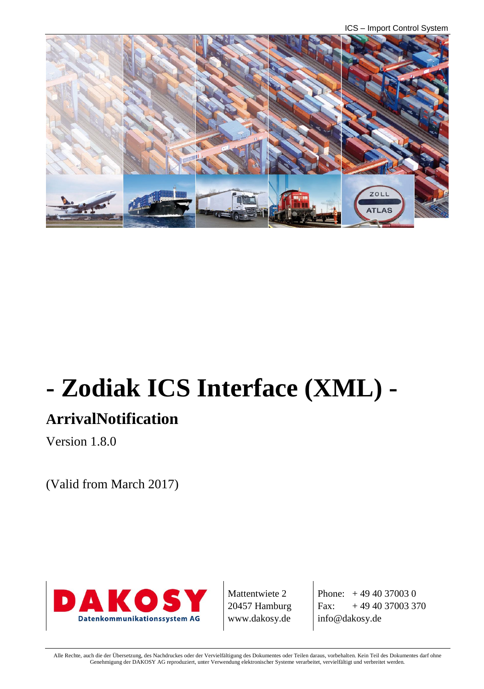ICS – Import Control System



# **- Zodiak ICS Interface (XML) -**

## **ArrivalNotification**

Version 1.8.0

(Valid from March 2017)



Mattentwiete 2 20457 Hamburg www.dakosy.de

Phone:  $+4940370030$ Fax:  $+494037003370$ info@dakosy.de

Alle Rechte, auch die der Übersetzung, des Nachdruckes oder der Vervielfältigung des Dokumentes oder Teilen daraus, vorbehalten. Kein Teil des Dokumentes darf ohne Genehmigung der DAKOSY AG reproduziert, unter Verwendung elektronischer Systeme verarbeitet, vervielfältigt und verbreitet werden.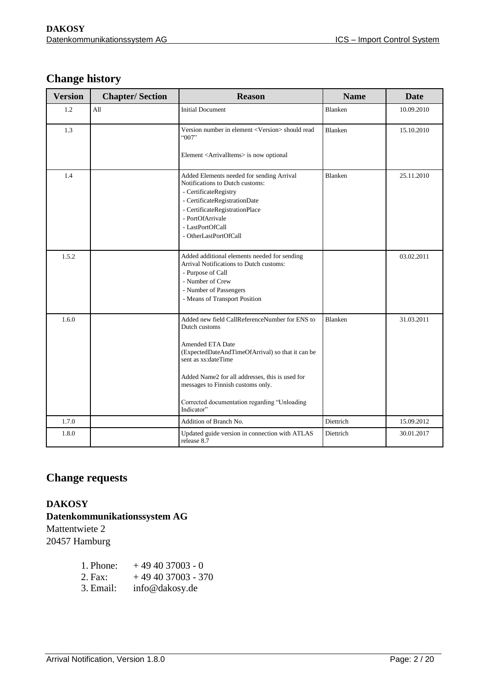### **Change history**

| <b>Version</b> | <b>Chapter/Section</b> | <b>Reason</b>                                                                                                                                                                                                                                                                                                        | <b>Name</b>    | <b>Date</b> |
|----------------|------------------------|----------------------------------------------------------------------------------------------------------------------------------------------------------------------------------------------------------------------------------------------------------------------------------------------------------------------|----------------|-------------|
| 1.2            | All                    | <b>Initial Document</b>                                                                                                                                                                                                                                                                                              | <b>Blanken</b> | 10.09.2010  |
| 1.3            |                        | Version number in element <version> should read<br/>"007"<br/>Element <arrivalitems> is now optional</arrivalitems></version>                                                                                                                                                                                        | <b>Blanken</b> | 15.10.2010  |
| 1.4            |                        | Added Elements needed for sending Arrival<br>Notifications to Dutch customs:<br>- CertificateRegistry<br>- CertificateRegistrationDate<br>- CertificateRegistrationPlace<br>- PortOfArrivale<br>- LastPortOfCall<br>- OtherLastPortOfCall                                                                            | <b>Blanken</b> | 25.11.2010  |
| 1.5.2          |                        | Added additional elements needed for sending<br>Arrival Notifications to Dutch customs:<br>- Purpose of Call<br>- Number of Crew<br>- Number of Passengers<br>- Means of Transport Position                                                                                                                          |                | 03.02.2011  |
| 1.6.0          |                        | Added new field CallReferenceNumber for ENS to<br>Dutch customs<br>Amended ETA Date<br>(ExpectedDateAndTimeOfArrival) so that it can be<br>sent as xs:dateTime<br>Added Name2 for all addresses, this is used for<br>messages to Finnish customs only.<br>Corrected documentation regarding "Unloading<br>Indicator" | <b>Blanken</b> | 31.03.2011  |
| 1.7.0          |                        | Addition of Branch No.                                                                                                                                                                                                                                                                                               | Diettrich      | 15.09.2012  |
| 1.8.0          |                        | Updated guide version in connection with ATLAS<br>release 8.7                                                                                                                                                                                                                                                        | Diettrich      | 30.01.2017  |

### **Change requests**

#### **DAKOSY Datenkommunikationssystem AG**  Mattentwiete 2

20457 Hamburg

| 1. Phone: | $+494037003 - 0$   |
|-----------|--------------------|
| $2.$ Fax: | $+494037003 - 370$ |
| 3. Email: | info@dakosy.de     |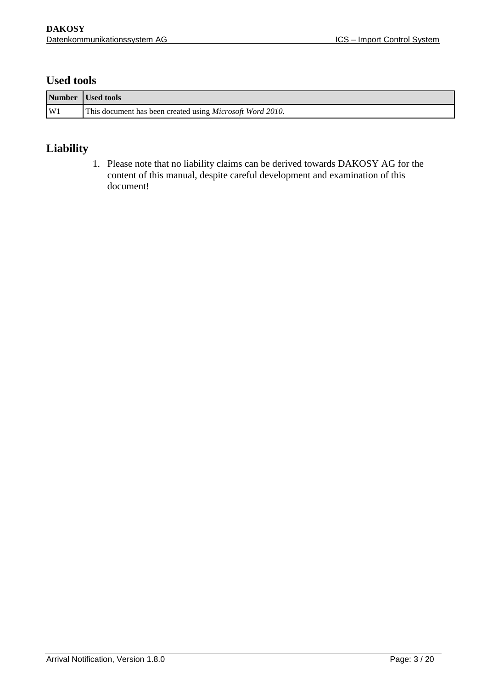#### **Used tools**

|                | Number Used tools                                                 |
|----------------|-------------------------------------------------------------------|
| W <sub>1</sub> | This document has been created using <i>Microsoft Word 2010</i> . |

#### **Liability**

1. Please note that no liability claims can be derived towards DAKOSY AG for the content of this manual, despite careful development and examination of this document!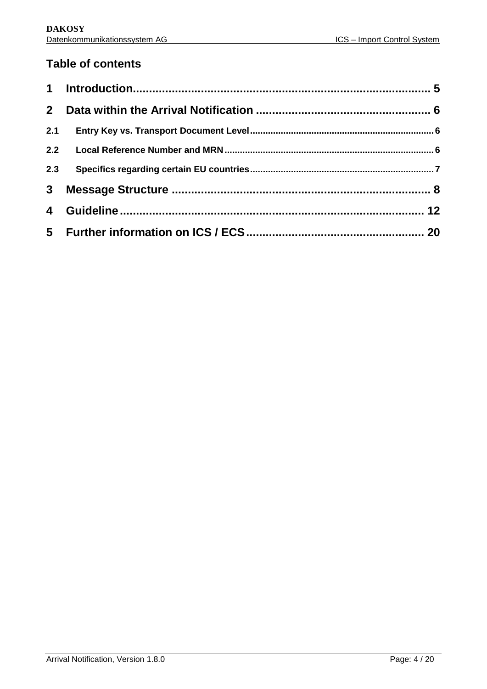### **Table of contents**

| 2.3 |  |
|-----|--|
|     |  |
|     |  |
|     |  |
|     |  |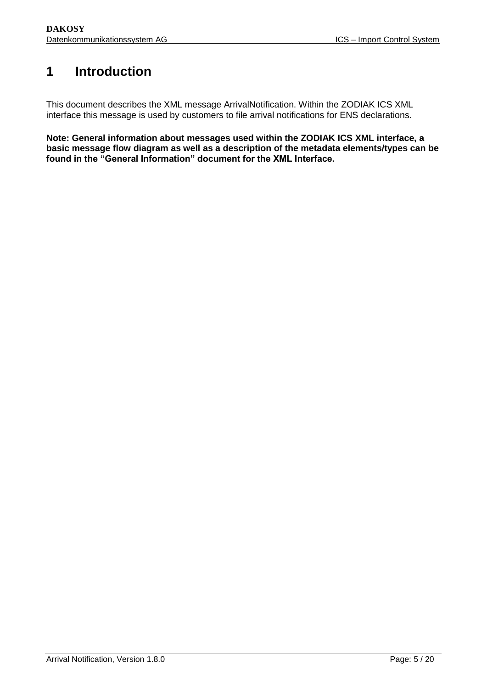### <span id="page-4-0"></span>**1 Introduction**

This document describes the XML message ArrivalNotification. Within the ZODIAK ICS XML interface this message is used by customers to file arrival notifications for ENS declarations.

**Note: General information about messages used within the ZODIAK ICS XML interface, a basic message flow diagram as well as a description of the metadata elements/types can be found in the "General Information" document for the XML Interface.**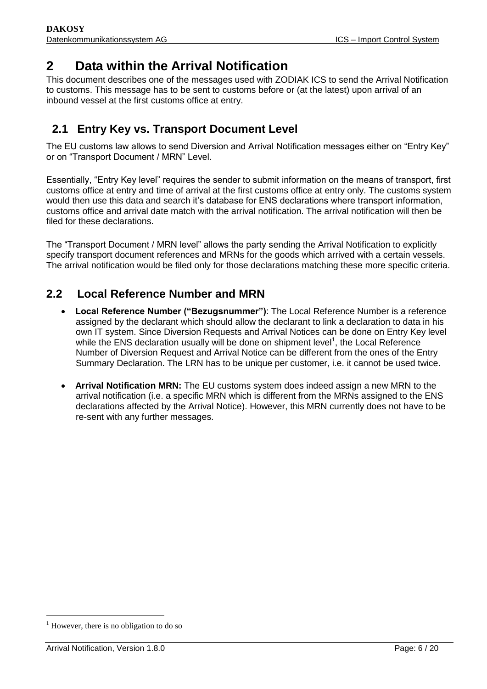### <span id="page-5-0"></span>**2 Data within the Arrival Notification**

This document describes one of the messages used with ZODIAK ICS to send the Arrival Notification to customs. This message has to be sent to customs before or (at the latest) upon arrival of an inbound vessel at the first customs office at entry.

### <span id="page-5-1"></span>**2.1 Entry Key vs. Transport Document Level**

The EU customs law allows to send Diversion and Arrival Notification messages either on "Entry Key" or on "Transport Document / MRN" Level.

Essentially, "Entry Key level" requires the sender to submit information on the means of transport, first customs office at entry and time of arrival at the first customs office at entry only. The customs system would then use this data and search it's database for ENS declarations where transport information, customs office and arrival date match with the arrival notification. The arrival notification will then be filed for these declarations.

The "Transport Document / MRN level" allows the party sending the Arrival Notification to explicitly specify transport document references and MRNs for the goods which arrived with a certain vessels. The arrival notification would be filed only for those declarations matching these more specific criteria.

### <span id="page-5-2"></span>**2.2 Local Reference Number and MRN**

- **Local Reference Number ("Bezugsnummer")**: The Local Reference Number is a reference assigned by the declarant which should allow the declarant to link a declaration to data in his own IT system. Since Diversion Requests and Arrival Notices can be done on Entry Key level while the ENS declaration usually will be done on shipment level<sup>1</sup>, the Local Reference Number of Diversion Request and Arrival Notice can be different from the ones of the Entry Summary Declaration. The LRN has to be unique per customer, i.e. it cannot be used twice.
- **Arrival Notification MRN:** The EU customs system does indeed assign a new MRN to the arrival notification (i.e. a specific MRN which is different from the MRNs assigned to the ENS declarations affected by the Arrival Notice). However, this MRN currently does not have to be re-sent with any further messages.

-

 $<sup>1</sup>$  However, there is no obligation to do so</sup>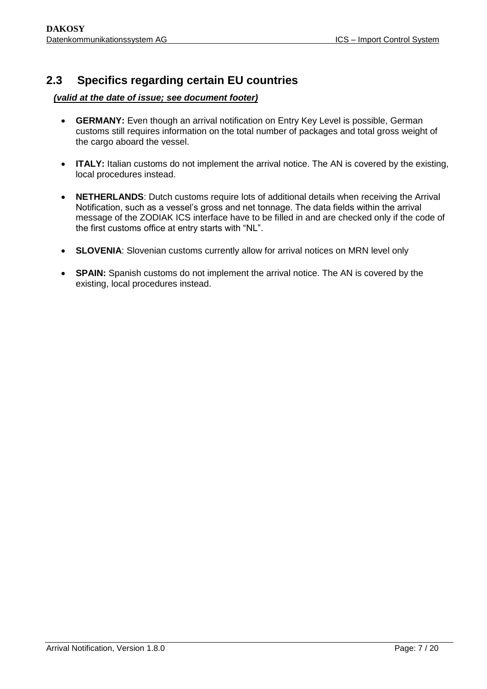### <span id="page-6-0"></span>**2.3 Specifics regarding certain EU countries**

#### *(valid at the date of issue; see document footer)*

- **GERMANY:** Even though an arrival notification on Entry Key Level is possible, German customs still requires information on the total number of packages and total gross weight of the cargo aboard the vessel.
- **ITALY:** Italian customs do not implement the arrival notice. The AN is covered by the existing, local procedures instead.
- **NETHERLANDS**: Dutch customs require lots of additional details when receiving the Arrival Notification, such as a vessel's gross and net tonnage. The data fields within the arrival message of the ZODIAK ICS interface have to be filled in and are checked only if the code of the first customs office at entry starts with "NL".
- **SLOVENIA**: Slovenian customs currently allow for arrival notices on MRN level only
- **SPAIN:** Spanish customs do not implement the arrival notice. The AN is covered by the existing, local procedures instead.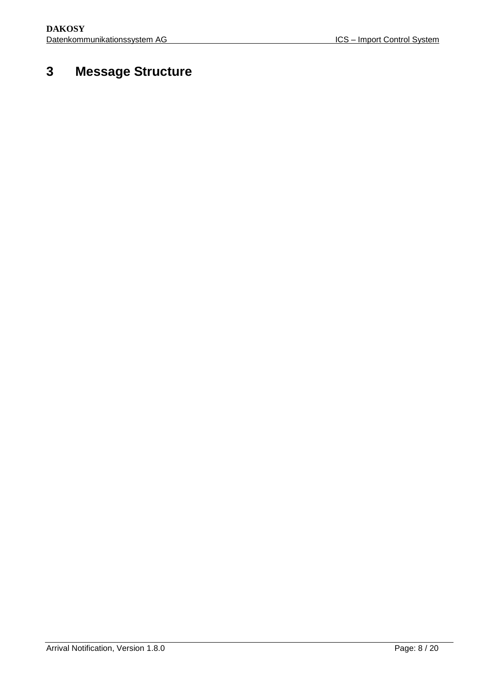## <span id="page-7-0"></span>**3 Message Structure**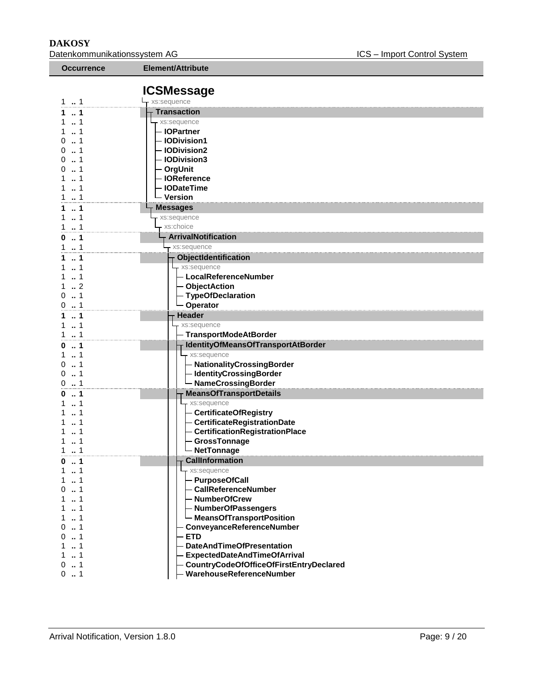L

**DAKOSY**<br>Datenkommunikationssystem AG<br>Datenkommunikationssystem AG<br>
Batenkommunikationssystem AG Datenkommunikationssystem AG

| <b>Occurrence</b>      | Element/Attribute                                |
|------------------------|--------------------------------------------------|
|                        |                                                  |
|                        | <b>ICSMessage</b>                                |
| 11                     | xs:sequence                                      |
| 1                      | <b>Transaction</b>                               |
| 1<br>1                 | xs:sequence<br>- IOPartner                       |
| 0                      | - IODivision1                                    |
| 0<br>1                 | - IODivision2                                    |
| 1<br>0                 | - IODivision3                                    |
| 1                      | - OrgUnit                                        |
| 1                      | - IOReference                                    |
| 1                      | - IODateTime                                     |
| $\ldots$ 1             | - Version                                        |
| $\cdot$ 1              | <b>Messages</b>                                  |
| $\ldots$ 1             | xs:sequence                                      |
| 1<br>1                 | xs:choice                                        |
| $\ldots$ 1<br>0        | <b>ArrivalNotification</b>                       |
| 1<br>1                 | xs:sequence                                      |
| 1                      | <b>ObjectIdentification</b>                      |
| 1<br>1                 | xs:sequence<br>- LocalReferenceNumber            |
| $\cdot$ 2              | - ObjectAction                                   |
| $\ldots$ 1<br>$\Omega$ | - TypeOfDeclaration                              |
| 1<br>0                 | <b>Operator</b>                                  |
| $\ldots$ 1             | Header                                           |
| 1                      | xs:sequence                                      |
| $\ldots$ 1             | <b>TransportModeAtBorder</b>                     |
| 1<br>0                 | IdentityOfMeansOfTransportAtBorder               |
| 1                      | xs:sequence                                      |
| 1<br>0                 | - NationalityCrossingBorder                      |
| 1<br>0<br>1<br>0       | - IdentityCrossingBorder<br>- NameCrossingBorder |
| 1                      | <b>MeansOfTransportDetails</b>                   |
| 0<br>1                 | - xs:sequence                                    |
|                        | - CertificateOfRegistry                          |
|                        | CertificateRegistrationDate                      |
|                        | CertificationRegistrationPlace                   |
| 1                      | GrossTonnage                                     |
| 1                      | <b>NetTonnage</b>                                |
| $\dots$ 1<br>0         | <b>CallInformation</b>                           |
| 1                      | - xs:sequence                                    |
| 1<br>1<br>0            | - PurposeOfCall<br>- CallReferenceNumber         |
| 1                      | - NumberOfCrew                                   |
| 1                      | - NumberOfPassengers                             |
| 1                      | - MeansOfTransportPosition                       |
| 1<br>0                 | ConveyanceReferenceNumber                        |
| 1<br>0                 | <b>ETD</b>                                       |
| 1                      | <b>DateAndTimeOfPresentation</b>                 |
| 1                      | <b>ExpectedDateAndTimeOfArrival</b>              |
| 1<br>0                 | CountryCodeOfOfficeOfFirstEntryDeclared          |
| 0<br>1                 | WarehouseReferenceNumber                         |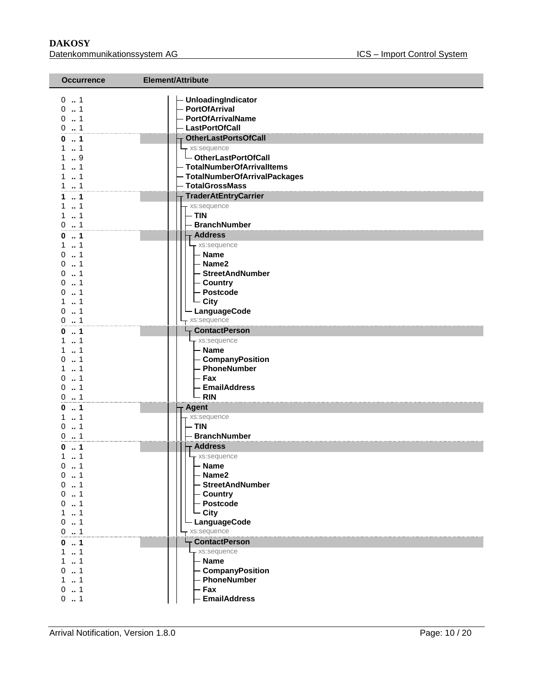#### **DAKOSY**  Datenkommunikationssystem AG

| <b>Occurrence</b>    | Element/Attribute              |
|----------------------|--------------------------------|
| 01                   | - UnloadingIndicator           |
| 01                   | - PortOfArrival                |
| 0.1                  | - PortOfArrivalName            |
| 0.1                  | - LastPortOfCall               |
| 1                    | <b>OtherLastPortsOfCall</b>    |
| 1                    | - xs:sequence                  |
| 9                    | └ OtherLastPortOfCall          |
| $\cdot$ 1            | - TotalNumberOfArrivalItems    |
| $\dots$ 1            | - TotalNumberOfArrivalPackages |
| 1                    | - TotalGrossMass               |
| 1                    | <b>TraderAtEntryCarrier</b>    |
| 1                    | xs:sequence                    |
| $\cdot$ 1            | - TIN                          |
| 1<br>0               | <b>BranchNumber</b>            |
| 1                    | <b>Address</b>                 |
| 1                    | xs:sequence                    |
| 1<br>$^{\circ}$      | - Name                         |
| 1                    | - Name2                        |
| 0<br>- 1             | - StreetAndNumber              |
| 0                    | - Country                      |
| $\ldots$ 1<br>U      | - Postcode                     |
| 1                    | - City                         |
| $\dots$ 1<br>0       | LanguageCode                   |
| $0 \t  1$            | xs:sequence                    |
| 1                    | <b>ContactPerson</b>           |
| 1                    | - xs:sequence                  |
| $\mathbb{R}^2$<br>-1 | – Name                         |
| 1<br>0               | - CompanyPosition              |
| 1<br>1<br>0          | - PhoneNumber<br>– Fax         |
| 1<br>0               | - EmailAddress                 |
| 1<br>0               | - RIN                          |
| 1<br>0               | <b>Agent</b>                   |
| $\ldots$ 1           | xs:sequence                    |
| $\dots$ 1<br>0       | – TIN                          |
| 1<br>0               | - BranchNumber                 |
| 1<br>o               | <b>Address</b>                 |
| 1<br>1               | - xs:sequence                  |
| 1<br>0               | - Name                         |
| 0<br>. . 1           | - Name2                        |
| $\dots$ 1<br>0       | - StreetAndNumber              |
| 1<br>0               | – Country                      |
| . . 1<br>0           | - Postcode                     |
| 1                    | - City                         |
| 1<br>0               | LanguageCode                   |
| 0.1                  | xs:sequence                    |
| $\ldots$ 1<br>0      | <b>ContactPerson</b>           |
| $\dots$ 1<br>1       | - xs:sequence                  |
| 1                    | - Name                         |
| . . 1<br>0           | - CompanyPosition              |
| 1                    | - PhoneNumber                  |
| 0.1                  | - Fax                          |
| $0 \t  1$            | <b>EmailAddress</b>            |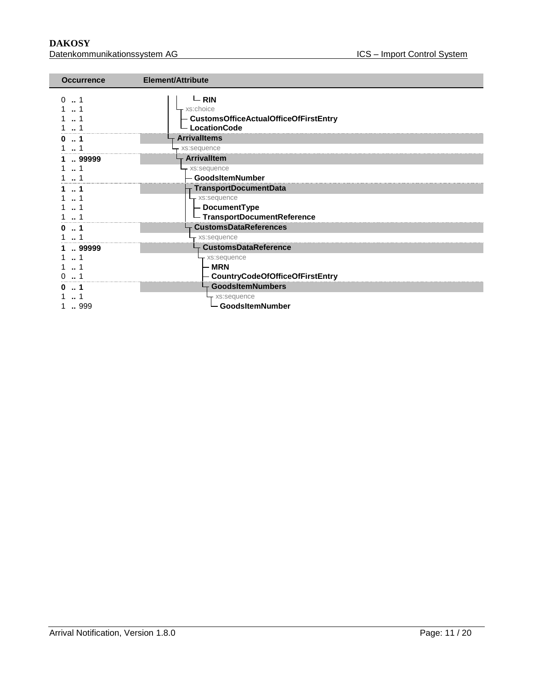**DAKOSY**<br>Datenkommunikationssystem AG<br>Datenkommunikationssystem AG<br>
Batenkommunikationssystem AG Datenkommunikationssystem AG

| <b>Occurrence</b> | <b>Element/Attribute</b>                                                                 |
|-------------------|------------------------------------------------------------------------------------------|
|                   | $-$ RIN<br>- xs:choice<br>- CustomsOfficeActualOfficeOfFirstEntry<br><b>LocationCode</b> |
|                   | <b>Arrivalltems</b>                                                                      |
|                   | xs:sequence                                                                              |
| 99999             | <b>Arrivalltem</b>                                                                       |
|                   | xs:sequence                                                                              |
|                   | GoodsItemNumber                                                                          |
|                   | <b>TransportDocumentData</b>                                                             |
|                   | xs:sequence                                                                              |
|                   | - DocumentType                                                                           |
|                   | - TransportDocumentReference                                                             |
|                   | <b>CustomsDataReferences</b>                                                             |
|                   | xs:sequence                                                                              |
| 99999             | <b>CustomsDataReference</b>                                                              |
|                   | - xs:sequence                                                                            |
|                   | - MRN                                                                                    |
|                   | - CountryCodeOfOfficeOfFirstEntry                                                        |
|                   | <b>GoodsItemNumbers</b>                                                                  |
|                   | - xs:sequence                                                                            |
| 999               | └─ GoodsItemNumber                                                                       |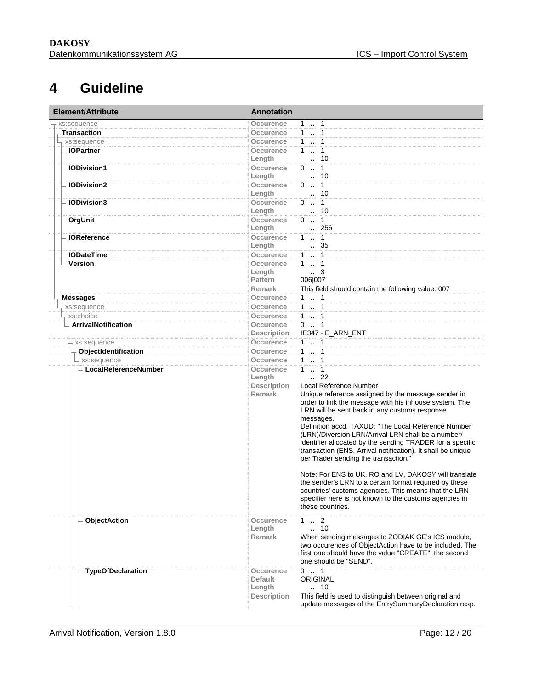### **4 Guideline**

<span id="page-11-0"></span>

| <b>Element/Attribute</b> | <b>Annotation</b>  |                                                                                                                 |  |
|--------------------------|--------------------|-----------------------------------------------------------------------------------------------------------------|--|
| xs:sequence              | Occurence          | $1 \t  1$                                                                                                       |  |
| <b>Transaction</b>       | Occurence          | $1 \quad 1$                                                                                                     |  |
| xs:sequence              | Occurence          | 1.1                                                                                                             |  |
| <b>IOPartner</b>         | Occurence          | $1 - 1$                                                                                                         |  |
|                          | Length             | . 10                                                                                                            |  |
| <b>IODivision1</b>       | Occurence          | $0 \t . \t 1$                                                                                                   |  |
|                          | Length             | . 10                                                                                                            |  |
| <b>IODivision2</b>       | Occurence          | $0 \t  \t 1$                                                                                                    |  |
|                          | Length             | . 10                                                                                                            |  |
| <b>IODivision3</b>       | Occurence          | $0 \t - 1$                                                                                                      |  |
|                          | Length             | . 10                                                                                                            |  |
| OrgUnit                  | Occurence          | $0 \t  1$                                                                                                       |  |
|                          | Length             | 256                                                                                                             |  |
| <b>IOReference</b>       | Occurence          | $1 \t  \t 1$                                                                                                    |  |
|                          | Length             | 35                                                                                                              |  |
| <b>IODateTime</b>        | Occurence          | $1 - 1$                                                                                                         |  |
| Version                  | Occurence          | $1 - 1$<br>$\cdot$ 3                                                                                            |  |
|                          | Length<br>Pattern  | 006 007                                                                                                         |  |
|                          | <b>Remark</b>      | This field should contain the following value: 007                                                              |  |
| <b>Messages</b>          | Occurence          | 1.1                                                                                                             |  |
| xs:sequence              | Occurence          | $1 - 1$                                                                                                         |  |
| xs:choice                | <b>Occurence</b>   | $1 - 1$                                                                                                         |  |
| ArrivalNotification      | Occurence          | $0 \t  1$                                                                                                       |  |
|                          | <b>Description</b> | IE347 - E_ARN_ENT                                                                                               |  |
| xs:sequence              | Occurence          | $1 - 1$                                                                                                         |  |
| ObjectIdentification     | Occurence          | $1 - 1$                                                                                                         |  |
| - xs:sequence            | Occurence          | $1 \quad 1$                                                                                                     |  |
| - LocalReferenceNumber   | <b>Occurence</b>   | $1 - 1$                                                                                                         |  |
|                          | Length             | $\cdot$ 22                                                                                                      |  |
|                          | <b>Description</b> | Local Reference Number                                                                                          |  |
|                          | <b>Remark</b>      | Unique reference assigned by the message sender in                                                              |  |
|                          |                    | order to link the message with his inhouse system. The                                                          |  |
|                          |                    | LRN will be sent back in any customs response                                                                   |  |
|                          |                    | messages.                                                                                                       |  |
|                          |                    | Definition accd. TAXUD: "The Local Reference Number                                                             |  |
|                          |                    | (LRN)/Diversion LRN/Arrival LRN shall be a number/                                                              |  |
|                          |                    | identifier allocated by the sending TRADER for a specific                                                       |  |
|                          |                    | transaction (ENS, Arrival notification). It shall be unique<br>per Trader sending the transaction."             |  |
|                          |                    |                                                                                                                 |  |
|                          |                    |                                                                                                                 |  |
|                          |                    | Note: For ENS to UK, RO and LV, DAKOSY will translate<br>the sender's LRN to a certain format required by these |  |
|                          |                    | countries' customs agencies. This means that the LRN                                                            |  |
|                          |                    | specifier here is not known to the customs agencies in                                                          |  |
|                          |                    | these countries.                                                                                                |  |
|                          |                    |                                                                                                                 |  |
| <b>ObjectAction</b>      | Occurence          | $1 \t  \t 2$                                                                                                    |  |
|                          | Length             | 10                                                                                                              |  |
|                          | <b>Remark</b>      | When sending messages to ZODIAK GE's ICS module,<br>two occurences of ObjectAction have to be included. The     |  |
|                          |                    | first one should have the value "CREATE", the second                                                            |  |
|                          |                    | one should be "SEND".                                                                                           |  |
| <b>TypeOfDeclaration</b> | Occurence          | $0 \t  1$                                                                                                       |  |
|                          | <b>Default</b>     | <b>ORIGINAL</b>                                                                                                 |  |
|                          | Length             | 10                                                                                                              |  |
|                          | <b>Description</b> | This field is used to distinguish between original and                                                          |  |
|                          |                    | update messages of the EntrySummaryDeclaration resp.                                                            |  |
|                          |                    |                                                                                                                 |  |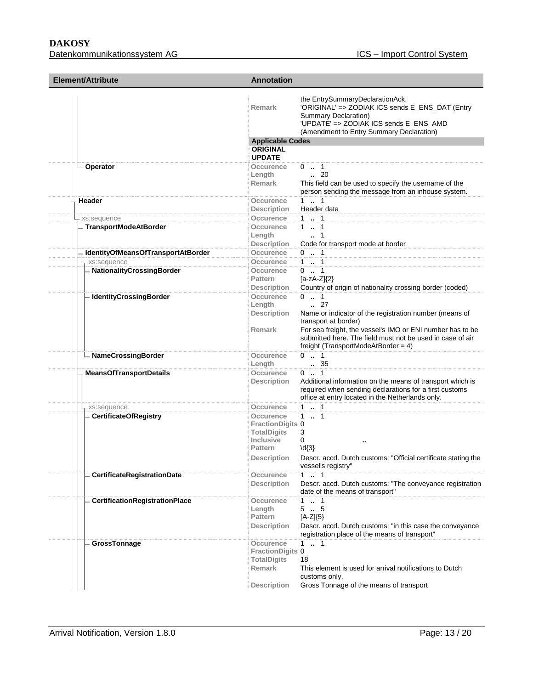**DAKOSY**  Datenkommunikationssystem AG

| Element/Attribute                  | <b>Annotation</b>       |                                                                                                                                                                                                         |  |
|------------------------------------|-------------------------|---------------------------------------------------------------------------------------------------------------------------------------------------------------------------------------------------------|--|
|                                    | <b>Remark</b>           | the EntrySummaryDeclarationAck.<br>'ORIGINAL' => ZODIAK ICS sends E_ENS_DAT (Entry<br><b>Summary Declaration)</b><br>'UPDATE' => ZODIAK ICS sends E_ENS_AMD<br>(Amendment to Entry Summary Declaration) |  |
|                                    | <b>Applicable Codes</b> |                                                                                                                                                                                                         |  |
|                                    | <b>ORIGINAL</b>         |                                                                                                                                                                                                         |  |
|                                    | <b>UPDATE</b>           |                                                                                                                                                                                                         |  |
| - Operator                         | Occurence               | $0 \t  1$                                                                                                                                                                                               |  |
|                                    | Length                  | $\cdot$ 20                                                                                                                                                                                              |  |
|                                    | <b>Remark</b>           | This field can be used to specify the username of the                                                                                                                                                   |  |
|                                    |                         | person sending the message from an inhouse system.                                                                                                                                                      |  |
| Header                             | Occurence               | $1 \t  \t 1$                                                                                                                                                                                            |  |
|                                    | <b>Description</b>      | Header data                                                                                                                                                                                             |  |
| - xs:sequence                      | Occurence               | 1 . 1                                                                                                                                                                                                   |  |
| <b>TransportModeAtBorder</b>       | Occurence               | $1 \t . 1$                                                                                                                                                                                              |  |
|                                    | Length                  | 1                                                                                                                                                                                                       |  |
|                                    | <b>Description</b>      | Code for transport mode at border                                                                                                                                                                       |  |
|                                    |                         | $0$ . 1                                                                                                                                                                                                 |  |
| IdentityOfMeansOfTransportAtBorder | Occurence               |                                                                                                                                                                                                         |  |
| xs:sequence                        | Occurence               | $1 - 1$                                                                                                                                                                                                 |  |
| - NationalityCrossingBorder        | Occurence               | $0$ . 1                                                                                                                                                                                                 |  |
|                                    | <b>Pattern</b>          | $[a-zA-Z](2)$                                                                                                                                                                                           |  |
|                                    | <b>Description</b>      | Country of origin of nationality crossing border (coded)                                                                                                                                                |  |
| - IdentityCrossingBorder           | Occurence               | $0 \t  1$                                                                                                                                                                                               |  |
|                                    | Length                  | $\ldots$ 27                                                                                                                                                                                             |  |
|                                    | <b>Description</b>      | Name or indicator of the registration number (means of<br>transport at border)                                                                                                                          |  |
|                                    | <b>Remark</b>           | For sea freight, the vessel's IMO or ENI number has to be<br>submitted here. The field must not be used in case of air<br>freight (TransportModeAtBorder = $4$ )                                        |  |
| - NameCrossingBorder               | Occurence<br>Length     | $0 \t  1$<br>$\begin{array}{c} 0.00000 \\ -0.00000 \\ \hline \end{array}$                                                                                                                               |  |
| <b>MeansOfTransportDetails</b>     | Occurence               | $0$ . 1                                                                                                                                                                                                 |  |
|                                    | <b>Description</b>      | Additional information on the means of transport which is<br>required when sending declarations for a first customs<br>office at entry located in the Netherlands only.                                 |  |
| xs:sequence                        | Occurence               | $1 \t  \t 1$                                                                                                                                                                                            |  |
| <b>CertificateOfRegistry</b>       | Occurence               | $1 \t  1$                                                                                                                                                                                               |  |
|                                    | <b>FractionDigits 0</b> |                                                                                                                                                                                                         |  |
|                                    | <b>TotalDigits</b>      | 3                                                                                                                                                                                                       |  |
|                                    | <b>Inclusive</b>        | 0                                                                                                                                                                                                       |  |
|                                    | <b>Pattern</b>          | $\{d\}$                                                                                                                                                                                                 |  |
|                                    | <b>Description</b>      | Descr. accd. Dutch customs: "Official certificate stating the<br>vessel's registry"                                                                                                                     |  |
| CertificateRegistrationDate        | Occurence               | 1 . 1                                                                                                                                                                                                   |  |
|                                    | <b>Description</b>      | Descr. accd. Dutch customs: "The conveyance registration<br>date of the means of transport"                                                                                                             |  |
| CertificationRegistrationPlace     | Occurence               | $1 \t  \t 1$                                                                                                                                                                                            |  |
|                                    | Length                  | 55                                                                                                                                                                                                      |  |
|                                    | Pattern                 | $[A-Z]\{5\}$                                                                                                                                                                                            |  |
|                                    | <b>Description</b>      | Descr. accd. Dutch customs: "in this case the conveyance<br>registration place of the means of transport"                                                                                               |  |
| GrossTonnage                       | Occurence               | $1 \t  1$                                                                                                                                                                                               |  |
|                                    | <b>FractionDigits 0</b> |                                                                                                                                                                                                         |  |
|                                    | <b>TotalDigits</b>      | 18                                                                                                                                                                                                      |  |
|                                    | Remark                  | This element is used for arrival notifications to Dutch                                                                                                                                                 |  |
|                                    |                         | customs only.                                                                                                                                                                                           |  |
|                                    |                         |                                                                                                                                                                                                         |  |
|                                    | <b>Description</b>      | Gross Tonnage of the means of transport                                                                                                                                                                 |  |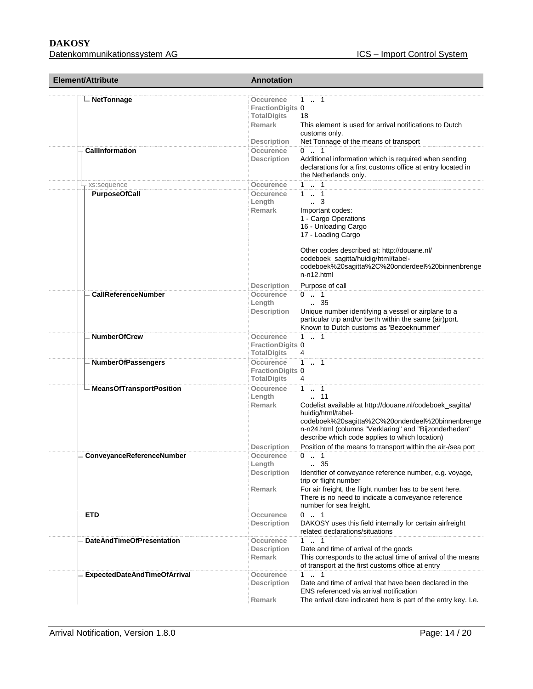### **DAKOSY**

m.

| Element/Attribute                   | <b>Annotation</b>                                                                          |                                                                                                                                                                                                                                                                                                                                      |  |
|-------------------------------------|--------------------------------------------------------------------------------------------|--------------------------------------------------------------------------------------------------------------------------------------------------------------------------------------------------------------------------------------------------------------------------------------------------------------------------------------|--|
| <b>NetTonnage</b>                   | Occurence<br><b>FractionDigits 0</b><br><b>TotalDigits</b><br>Remark<br><b>Description</b> | 1 . 1<br>18<br>This element is used for arrival notifications to Dutch<br>customs only.<br>Net Tonnage of the means of transport                                                                                                                                                                                                     |  |
| <b>CallInformation</b>              | Occurence<br><b>Description</b>                                                            | $0 \t  1$<br>Additional information which is required when sending<br>declarations for a first customs office at entry located in<br>the Netherlands only.                                                                                                                                                                           |  |
| xs:sequence                         | Occurence                                                                                  | $1 - 1$                                                                                                                                                                                                                                                                                                                              |  |
| <b>PurposeOfCall</b>                | Occurence<br>Length<br><b>Remark</b>                                                       | $1 \quad 1$<br>$\ldots$ 3<br>Important codes:<br>1 - Cargo Operations<br>16 - Unloading Cargo<br>17 - Loading Cargo<br>Other codes described at: http://douane.nl/<br>codeboek_sagitta/huidig/html/tabel-<br>codeboek%20sagitta%2C%20onderdeel%20binnenbrenge<br>$n-n12.html$                                                        |  |
|                                     | <b>Description</b>                                                                         | Purpose of call                                                                                                                                                                                                                                                                                                                      |  |
| <b>CallReferenceNumber</b>          | Occurence<br>Length<br><b>Description</b>                                                  | $0 \t  1$<br>$\, 35$<br>Unique number identifying a vessel or airplane to a<br>particular trip and/or berth within the same (air)port.<br>Known to Dutch customs as 'Bezoeknummer'                                                                                                                                                   |  |
| <b>NumberOfCrew</b>                 | Occurence<br><b>FractionDigits 0</b><br><b>TotalDigits</b>                                 | $1 \t  1$<br>4                                                                                                                                                                                                                                                                                                                       |  |
| <b>NumberOfPassengers</b>           | Occurence<br><b>FractionDigits 0</b><br><b>TotalDigits</b>                                 | $1 \t  \t 1$<br>4                                                                                                                                                                                                                                                                                                                    |  |
| <b>MeansOfTransportPosition</b>     | Occurence<br>Length<br><b>Remark</b><br><b>Description</b>                                 | 1 . 1<br>$\ldots$ 11<br>Codelist available at http://douane.nl/codeboek_sagitta/<br>huidig/html/tabel-<br>codeboek%20sagitta%2C%20onderdeel%20binnenbrenge<br>n-n24.html (columns "Verklaring" and "Bijzonderheden"<br>describe which code applies to which location)<br>Position of the means fo transport within the air-/sea port |  |
| ConveyanceReferenceNumber           | <b>Occurence</b><br>Length<br><b>Description</b><br><b>Remark</b>                          | $0 \t  1$<br>. 35<br>Identifier of conveyance reference number, e.g. voyage,<br>trip or flight number<br>For air freight, the flight number has to be sent here.<br>There is no need to indicate a conveyance reference<br>number for sea freight.                                                                                   |  |
| <b>ETD</b>                          | Occurence<br><b>Description</b>                                                            | $0 \t  1$<br>DAKOSY uses this field internally for certain airfreight<br>related declarations/situations                                                                                                                                                                                                                             |  |
| <b>DateAndTimeOfPresentation</b>    | Occurence<br><b>Description</b><br>Remark                                                  | $1 \t  1$<br>Date and time of arrival of the goods<br>This corresponds to the actual time of arrival of the means<br>of transport at the first customs office at entry                                                                                                                                                               |  |
| <b>ExpectedDateAndTimeOfArrival</b> | Occurence<br><b>Description</b><br>Remark                                                  | $1 \t  \t 1$<br>Date and time of arrival that have been declared in the<br>ENS referenced via arrival notification<br>The arrival date indicated here is part of the entry key. I.e.                                                                                                                                                 |  |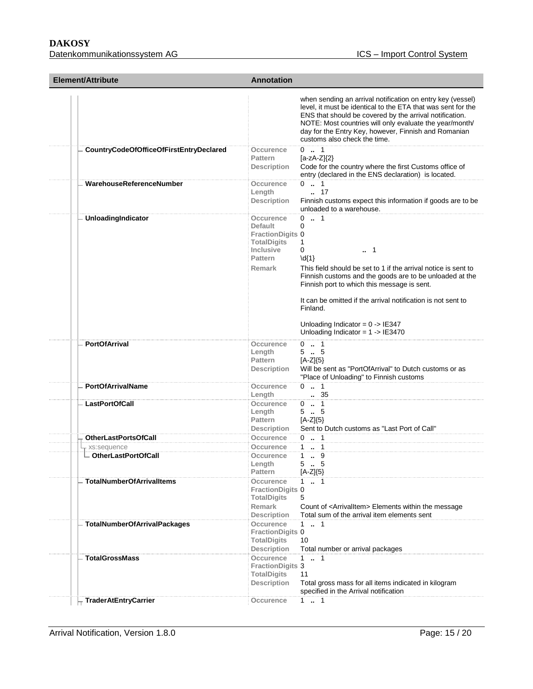#### **DAKOSY**

Datenkommunikationssystem AG ICS – Import Control System

| <b>Element/Attribute</b>                | <b>Annotation</b>                                                                                                            |                                                                                                                                                                                                                                                                                                                                                                                         |
|-----------------------------------------|------------------------------------------------------------------------------------------------------------------------------|-----------------------------------------------------------------------------------------------------------------------------------------------------------------------------------------------------------------------------------------------------------------------------------------------------------------------------------------------------------------------------------------|
|                                         |                                                                                                                              | when sending an arrival notification on entry key (vessel)<br>level, it must be identical to the ETA that was sent for the<br>ENS that should be covered by the arrival notification.<br>NOTE: Most countries will only evaluate the year/month/<br>day for the Entry Key, however, Finnish and Romanian<br>customs also check the time.                                                |
| CountryCodeOfOfficeOfFirstEntryDeclared | Occurence<br><b>Pattern</b><br>Description                                                                                   | $0 \t  1$<br>$[a-zA-Z]\{2\}$<br>Code for the country where the first Customs office of<br>entry (declared in the ENS declaration) is located.                                                                                                                                                                                                                                           |
| WarehouseReferenceNumber                | Occurence<br>Length<br><b>Description</b>                                                                                    | $0 \cdot 1$<br>. 17<br>Finnish customs expect this information if goods are to be<br>unloaded to a warehouse.                                                                                                                                                                                                                                                                           |
| UnloadingIndicator                      | Occurence<br>Default<br><b>FractionDigits 0</b><br><b>TotalDigits</b><br><b>Inclusive</b><br><b>Pattern</b><br><b>Remark</b> | $0 \t  1$<br>0<br>1<br>0<br>1<br>$\{d\}$<br>This field should be set to 1 if the arrival notice is sent to<br>Finnish customs and the goods are to be unloaded at the<br>Finnish port to which this message is sent.<br>It can be omitted if the arrival notification is not sent to<br>Finland.<br>Unloading Indicator = $0 \rightarrow$ IE347<br>Unloading Indicator = $1 -$ > IE3470 |
| <b>PortOfArrival</b>                    | Occurence<br>Length<br>Pattern<br><b>Description</b>                                                                         | $0 \t  1$<br>55<br>$[A-Z]\{5\}$<br>Will be sent as "PortOfArrival" to Dutch customs or as<br>"Place of Unloading" to Finnish customs                                                                                                                                                                                                                                                    |
| <b>PortOfArrivalName</b>                | Occurence<br>Length                                                                                                          | $0 \t  1$<br>. 35                                                                                                                                                                                                                                                                                                                                                                       |
| <b>LastPortOfCall</b>                   | Occurence<br>Length<br><b>Pattern</b><br><b>Description</b>                                                                  | $0 \t  1$<br>$5-.5$<br>$[A-Z]\{5\}$<br>Sent to Dutch customs as "Last Port of Call"                                                                                                                                                                                                                                                                                                     |
| <b>OtherLastPortsOfCall</b>             | Occurence                                                                                                                    | $0 \t  1$                                                                                                                                                                                                                                                                                                                                                                               |
| xs:sequence                             | Occurence                                                                                                                    | 11                                                                                                                                                                                                                                                                                                                                                                                      |
| - OtherLastPortOfCall                   | Occurence<br>Length<br>Pattern                                                                                               | $1 \t . 9$<br>5.<br>5<br>[A-Z]{5}                                                                                                                                                                                                                                                                                                                                                       |
| <b>TotalNumberOfArrivalItems</b>        | Occurence<br><b>FractionDigits 0</b><br><b>TotalDigits</b><br><b>Remark</b><br><b>Description</b>                            | $1 - 1$<br>5<br>Count of <arrivalitem> Elements within the message<br/>Total sum of the arrival item elements sent</arrivalitem>                                                                                                                                                                                                                                                        |
| <b>TotalNumberOfArrivalPackages</b>     | Occurence<br><b>FractionDigits 0</b><br><b>TotalDigits</b><br><b>Description</b>                                             | $1 \t  \t 1$<br>10<br>Total number or arrival packages                                                                                                                                                                                                                                                                                                                                  |
| <b>TotalGrossMass</b>                   | Occurence<br><b>FractionDigits 3</b><br><b>TotalDigits</b><br><b>Description</b>                                             | $1 \t  \t 1$<br>11<br>Total gross mass for all items indicated in kilogram<br>specified in the Arrival notification                                                                                                                                                                                                                                                                     |
| <b>TraderAtEntryCarrier</b>             | Occurence                                                                                                                    | 11                                                                                                                                                                                                                                                                                                                                                                                      |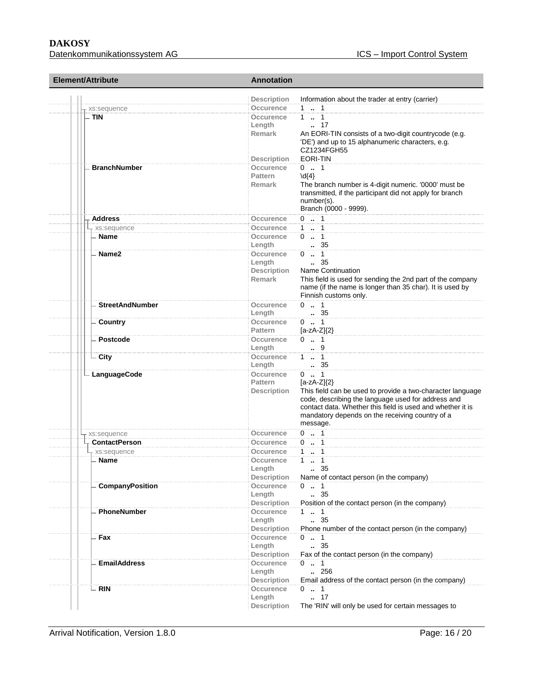| Element/Attribute                   | <b>Annotation</b>                 |                                                                                                               |  |
|-------------------------------------|-----------------------------------|---------------------------------------------------------------------------------------------------------------|--|
|                                     | <b>Description</b>                | Information about the trader at entry (carrier)                                                               |  |
| xs:sequence                         | <b>Occurence</b><br>1  1          |                                                                                                               |  |
| <b>TIN</b>                          | $1 - 1$<br>Occurence              |                                                                                                               |  |
|                                     | $\ldots$ 17<br>Length             |                                                                                                               |  |
|                                     | Remark                            | An EORI-TIN consists of a two-digit countrycode (e.g.                                                         |  |
|                                     |                                   | 'DE') and up to 15 alphanumeric characters, e.g.                                                              |  |
|                                     |                                   | CZ1234FGH55                                                                                                   |  |
|                                     | EORI-TIN<br><b>Description</b>    |                                                                                                               |  |
| <b>BranchNumber</b>                 | Occurence<br>$0 \t  1$            |                                                                                                               |  |
|                                     | <b>Pattern</b><br>$\{d\}$         |                                                                                                               |  |
|                                     | <b>Remark</b>                     | The branch number is 4-digit numeric. '0000' must be                                                          |  |
|                                     | number(s).                        | transmitted, if the participant did not apply for branch                                                      |  |
|                                     |                                   | Branch (0000 - 9999).                                                                                         |  |
| <b>Address</b>                      | $0 \t . 1$<br>Occurence           |                                                                                                               |  |
| xs:sequence                         | $1 \t  \t 1$<br><b>Occurence</b>  |                                                                                                               |  |
| Name                                | $0 \t . 1$<br>Occurence           |                                                                                                               |  |
|                                     | Length<br>. 35                    |                                                                                                               |  |
| Name2                               | $0 \t  1$<br>Occurence            |                                                                                                               |  |
|                                     | $\, 35$<br>Length                 |                                                                                                               |  |
|                                     | Description                       | Name Continuation                                                                                             |  |
|                                     | <b>Remark</b>                     | This field is used for sending the 2nd part of the company                                                    |  |
|                                     |                                   | name (if the name is longer than 35 char). It is used by                                                      |  |
|                                     |                                   | Finnish customs only.                                                                                         |  |
| <b>StreetAndNumber</b>              | $0 \t  1$<br>Occurence            |                                                                                                               |  |
|                                     | . 35<br>Length                    |                                                                                                               |  |
| Country                             | <b>Occurence</b><br>$0 \t  1$     |                                                                                                               |  |
|                                     | <b>Pattern</b><br>$[a-zA-Z](2)$   |                                                                                                               |  |
| Postcode                            | $0 \t  1$<br>Occurence            |                                                                                                               |  |
|                                     | Length<br>9                       |                                                                                                               |  |
| City                                | Occurence<br>$1 \t  1$            |                                                                                                               |  |
|                                     | Length<br>35                      |                                                                                                               |  |
| - LanguageCode                      | <b>Occurence</b><br>$0 \t  1$     |                                                                                                               |  |
|                                     | <b>Pattern</b><br>$[a-zA-Z](2)$   |                                                                                                               |  |
|                                     | <b>Description</b>                | This field can be used to provide a two-character language                                                    |  |
|                                     |                                   | code, describing the language used for address and                                                            |  |
|                                     |                                   | contact data. Whether this field is used and whether it is<br>mandatory depends on the receiving country of a |  |
|                                     | message.                          |                                                                                                               |  |
|                                     | $0 \t . 1$                        |                                                                                                               |  |
| xs:sequence<br><b>ContactPerson</b> | Occurence<br>Occurence            |                                                                                                               |  |
|                                     | $0 \t  1$<br>$1 - 1$<br>Occurence |                                                                                                               |  |
| xs:sequence<br><b>Name</b>          | $1 \t  \t 1$<br>Occurence         |                                                                                                               |  |
|                                     | Length<br>35                      |                                                                                                               |  |
|                                     | <b>Description</b>                | Name of contact person (in the company)                                                                       |  |
| CompanyPosition                     | <b>Occurence</b><br>$0 \t  1$     |                                                                                                               |  |
|                                     | 35<br>Length                      |                                                                                                               |  |
|                                     | <b>Description</b>                | Position of the contact person (in the company)                                                               |  |
| PhoneNumber                         | $1 - 1$<br><b>Occurence</b>       |                                                                                                               |  |
|                                     | 35<br>Length                      |                                                                                                               |  |
|                                     | <b>Description</b>                | Phone number of the contact person (in the company)                                                           |  |
| Fax                                 | Occurence<br>$0$ . 1              |                                                                                                               |  |
|                                     | . 35<br>Length                    |                                                                                                               |  |
|                                     | <b>Description</b>                | Fax of the contact person (in the company)                                                                    |  |
| <b>EmailAddress</b>                 | Occurence<br>$0 \t  1$            |                                                                                                               |  |
|                                     | 256<br>Length                     |                                                                                                               |  |
|                                     | <b>Description</b>                | Email address of the contact person (in the company)                                                          |  |
| <b>RIN</b>                          | Occurence<br>$0 \t  1$            |                                                                                                               |  |
|                                     | . 17<br>Length                    |                                                                                                               |  |
|                                     | <b>Description</b>                | The 'RIN' will only be used for certain messages to                                                           |  |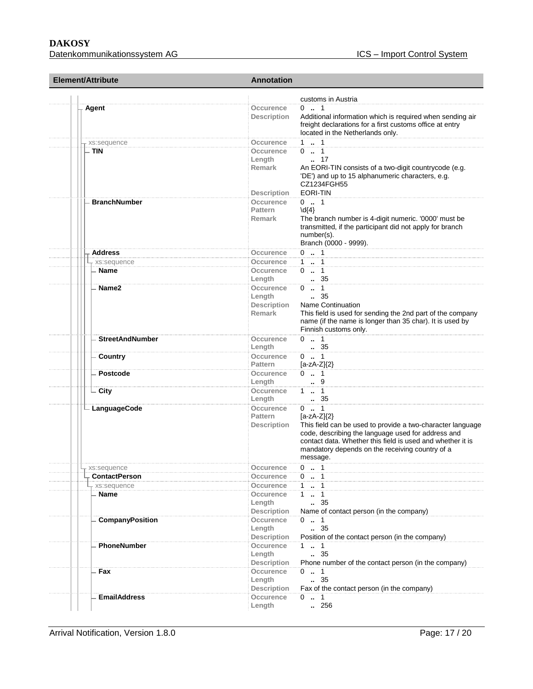| Element/Attribute      | <b>Annotation</b>                                                                                                                                                                                                                                                                                                                  |
|------------------------|------------------------------------------------------------------------------------------------------------------------------------------------------------------------------------------------------------------------------------------------------------------------------------------------------------------------------------|
|                        | customs in Austria                                                                                                                                                                                                                                                                                                                 |
| Agent                  | $0 \t  1$<br>Occurence<br>Additional information which is required when sending air<br><b>Description</b><br>freight declarations for a first customs office at entry<br>located in the Netherlands only.                                                                                                                          |
| - xs:sequence          | $1 \t  \t 1$<br>Occurence                                                                                                                                                                                                                                                                                                          |
| - TIN                  | $0 \t  1$<br>Occurence<br>Length<br>17<br><b>Remark</b><br>An EORI-TIN consists of a two-digit countrycode (e.g.<br>'DE') and up to 15 alphanumeric characters, e.g.<br>CZ1234FGH55<br><b>EORI-TIN</b><br><b>Description</b>                                                                                                       |
| <b>BranchNumber</b>    | $0 \t  1$                                                                                                                                                                                                                                                                                                                          |
|                        | <b>Occurence</b><br><b>Pattern</b><br>$\{4\}$<br>The branch number is 4-digit numeric. '0000' must be<br>Remark<br>transmitted, if the participant did not apply for branch<br>number(s).<br>Branch (0000 - 9999).                                                                                                                 |
| <b>Address</b>         | $0 \t  \t 1$<br>Occurence                                                                                                                                                                                                                                                                                                          |
| xs:sequence            | $1 - 1$<br>Occurence                                                                                                                                                                                                                                                                                                               |
| <b>Name</b>            | $0 \t  1$<br>Occurence<br>. 35<br>Length                                                                                                                                                                                                                                                                                           |
| Name2                  | $0 \t  \t 1$<br>Occurence<br>$\frac{1}{2}$ 35<br>Length<br><b>Description</b><br>Name Continuation<br>This field is used for sending the 2nd part of the company<br>Remark<br>name (if the name is longer than 35 char). It is used by<br>Finnish customs only.                                                                    |
| <b>StreetAndNumber</b> | $0 \t . 1$<br>Occurence<br>$\therefore$ 35<br>Length                                                                                                                                                                                                                                                                               |
| Country                | Occurence<br>$0 \t  1$<br><b>Pattern</b><br>$[a-zA-Z]\{2\}$                                                                                                                                                                                                                                                                        |
| Postcode               | $0 \t  1$<br>Occurence<br>9<br>Length                                                                                                                                                                                                                                                                                              |
| City                   | $1 - 1$<br>Occurence<br>Length                                                                                                                                                                                                                                                                                                     |
| ∟ LanguageCode         | $0 \t  1$<br>Occurence<br><b>Pattern</b><br>$[a-zA-Z]\{2\}$<br>This field can be used to provide a two-character language<br><b>Description</b><br>code, describing the language used for address and<br>contact data. Whether this field is used and whether it is<br>mandatory depends on the receiving country of a<br>message. |
| xs:sequence            | Occurence<br>0<br>$\therefore$ 1                                                                                                                                                                                                                                                                                                   |
| <b>ContactPerson</b>   | $0 \t  1$<br>Occurence                                                                                                                                                                                                                                                                                                             |
| xs:sequence            | 1  1<br>Occurence                                                                                                                                                                                                                                                                                                                  |
| Name                   | $1 - 1$<br>Occurence<br>Length<br>35<br><b>Description</b><br>Name of contact person (in the company)                                                                                                                                                                                                                              |
| CompanyPosition        | $0 \t  1$<br>Occurence<br>Length<br>35<br><b>Description</b><br>Position of the contact person (in the company)                                                                                                                                                                                                                    |
| PhoneNumber            | Occurence<br>1.1<br>. 35<br>Length<br>Phone number of the contact person (in the company)<br><b>Description</b>                                                                                                                                                                                                                    |
| Fax                    | Occurence<br>$0 \t  1$<br>. 35<br>Length<br><b>Description</b><br>Fax of the contact person (in the company)                                                                                                                                                                                                                       |
| <b>EmailAddress</b>    | Occurence<br>$0 \t  1$<br>256<br>Length                                                                                                                                                                                                                                                                                            |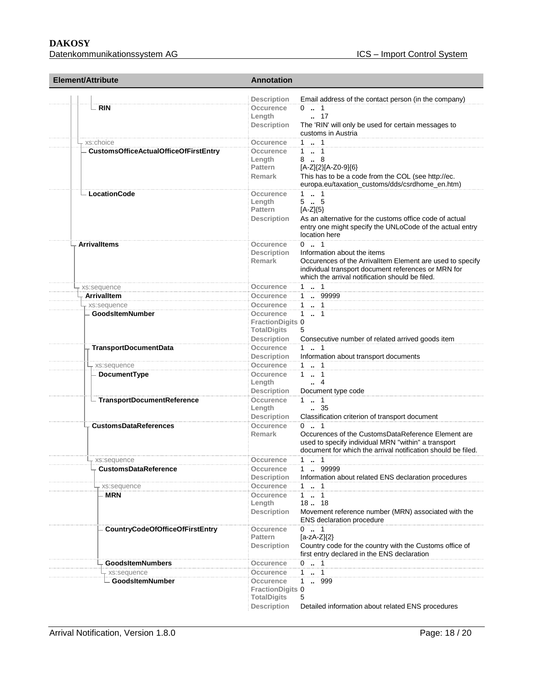## **DAKOSY**

| Element/Attribute                      | <b>Annotation</b>                                               |                                                                                                                                                                                                                 |
|----------------------------------------|-----------------------------------------------------------------|-----------------------------------------------------------------------------------------------------------------------------------------------------------------------------------------------------------------|
| <b>RIN</b>                             | <b>Description</b><br>Occurence<br>Length<br><b>Description</b> | Email address of the contact person (in the company)<br>$0 \t . 1$<br>$\ldots$ 17<br>The 'RIN' will only be used for certain messages to<br>customs in Austria                                                  |
| xs:choice                              | Occurence                                                       | $1 \t  \t 1$                                                                                                                                                                                                    |
| CustomsOfficeActualOfficeOfFirstEntry  | Occurence<br>Length<br><b>Pattern</b><br><b>Remark</b>          | $1 \t  \t 1$<br>8. 8<br>[A-Z]{2}[A-Z0-9]{6}<br>This has to be a code from the COL (see http://ec.<br>europa.eu/taxation_customs/dds/csrdhome_en.htm)                                                            |
| - LocationCode                         | Occurence<br>Length<br><b>Pattern</b><br><b>Description</b>     | 1.1<br>$5-.5$<br>$[A-Z]\{5\}$<br>As an alternative for the customs office code of actual<br>entry one might specify the UNLoCode of the actual entry<br>location here                                           |
| <b>Arrivalltems</b>                    | Occurence<br><b>Description</b><br>Remark                       | $0 \t  1$<br>Information about the items<br>Occurences of the ArrivalItem Element are used to specify<br>individual transport document references or MRN for<br>which the arrival notification should be filed. |
| xs:sequence                            | Occurence                                                       | $1 - 1$                                                                                                                                                                                                         |
| <b>Arrivalltem</b>                     | Occurence                                                       | 1  99999                                                                                                                                                                                                        |
| xs:sequence                            | Occurence                                                       | 11                                                                                                                                                                                                              |
| <b>GoodsItemNumber</b>                 | Occurence<br><b>FractionDigits 0</b><br><b>TotalDigits</b>      | $1 \t  \t 1$<br>5                                                                                                                                                                                               |
| <b>TransportDocumentData</b>           | <b>Description</b><br>Occurence<br><b>Description</b>           | Consecutive number of related arrived goods item<br>$1 \t  1$<br>Information about transport documents                                                                                                          |
| xs:sequence                            | <b>Occurence</b>                                                | $1 \t  \t 1$                                                                                                                                                                                                    |
| DocumentType                           | Occurence<br>Length<br><b>Description</b>                       | $1 \t  \t 1$<br>4<br>Document type code                                                                                                                                                                         |
| - TransportDocumentReference           | Occurence<br>Length<br><b>Description</b>                       | $1 \t  1$<br>$\,-.35$<br>Classification criterion of transport document                                                                                                                                         |
| <b>CustomsDataReferences</b>           | <b>Occurence</b><br><b>Remark</b>                               | $0 \dots 1$<br>Occurences of the CustomsDataReference Element are<br>used to specify individual MRN "within" a transport<br>document for which the arrival notification should be filed.                        |
| - xs:sequence                          | Occurence                                                       | $1 \t  \t 1$                                                                                                                                                                                                    |
| <b>CustomsDataReference</b>            | Occurence<br>Description<br>Occurence                           | 1  99999<br>Information about related ENS declaration procedures<br>$1 - 1$                                                                                                                                     |
| xs:sequence<br><b>MRN</b>              | Occurence                                                       | $1 - 1$                                                                                                                                                                                                         |
|                                        | Length<br><b>Description</b>                                    | 1818<br>Movement reference number (MRN) associated with the<br>ENS declaration procedure                                                                                                                        |
| <b>CountryCodeOfOfficeOfFirstEntry</b> | Occurence<br>Pattern<br><b>Description</b>                      | $0 \t  1$<br>$[a-zA-Z]\{2\}$<br>Country code for the country with the Customs office of<br>first entry declared in the ENS declaration                                                                          |
| <b>GoodsItemNumbers</b>                | Occurence                                                       | $0 \t  1$                                                                                                                                                                                                       |
| xs:sequence                            | Occurence                                                       | 1  1                                                                                                                                                                                                            |
| <b>GoodsItemNumber</b>                 | Occurence<br><b>FractionDigits 0</b><br><b>TotalDigits</b>      | $\mathbf{1}$<br>999<br>5                                                                                                                                                                                        |
|                                        | <b>Description</b>                                              | Detailed information about related ENS procedures                                                                                                                                                               |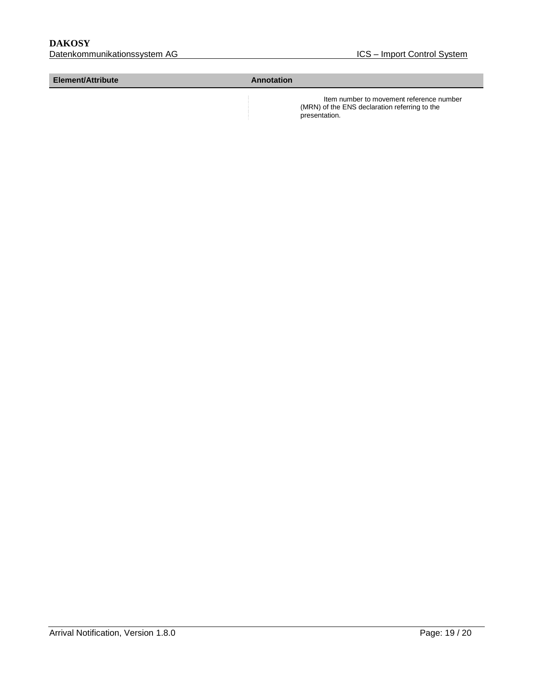#### **Element/Attribute Annotation**

 Item number to movement reference number (MRN) of the ENS declaration referring to the presentation.